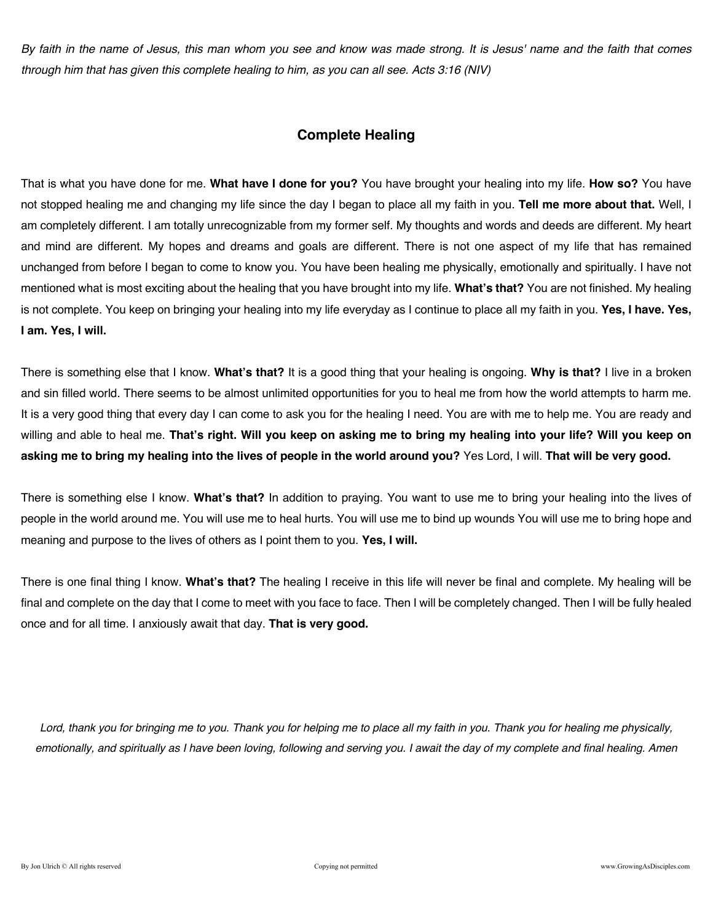*By faith in the name of Jesus, this man whom you see and know was made strong. It is Jesus' name and the faith that comes through him that has given this complete healing to him, as you can all see. Acts 3:16 (NIV)* 

## **Complete Healing**

That is what you have done for me. **What have I done for you?** You have brought your healing into my life. **How so?** You have not stopped healing me and changing my life since the day I began to place all my faith in you. **Tell me more about that.** Well, I am completely different. I am totally unrecognizable from my former self. My thoughts and words and deeds are different. My heart and mind are different. My hopes and dreams and goals are different. There is not one aspect of my life that has remained unchanged from before I began to come to know you. You have been healing me physically, emotionally and spiritually. I have not mentioned what is most exciting about the healing that you have brought into my life. **What's that?** You are not finished. My healing is not complete. You keep on bringing your healing into my life everyday as I continue to place all my faith in you. **Yes, I have. Yes, I am. Yes, I will.**

There is something else that I know. **What's that?** It is a good thing that your healing is ongoing. **Why is that?** I live in a broken and sin filled world. There seems to be almost unlimited opportunities for you to heal me from how the world attempts to harm me. It is a very good thing that every day I can come to ask you for the healing I need. You are with me to help me. You are ready and willing and able to heal me. **That's right. Will you keep on asking me to bring my healing into your life? Will you keep on asking me to bring my healing into the lives of people in the world around you?** Yes Lord, I will. **That will be very good.**

There is something else I know. **What's that?** In addition to praying. You want to use me to bring your healing into the lives of people in the world around me. You will use me to heal hurts. You will use me to bind up wounds You will use me to bring hope and meaning and purpose to the lives of others as I point them to you. **Yes, I will.**

There is one final thing I know. **What's that?** The healing I receive in this life will never be final and complete. My healing will be final and complete on the day that I come to meet with you face to face. Then I will be completely changed. Then I will be fully healed once and for all time. I anxiously await that day. **That is very good.**

*Lord, thank you for bringing me to you. Thank you for helping me to place all my faith in you. Thank you for healing me physically, emotionally, and spiritually as I have been loving, following and serving you. I await the day of my complete and final healing. Amen*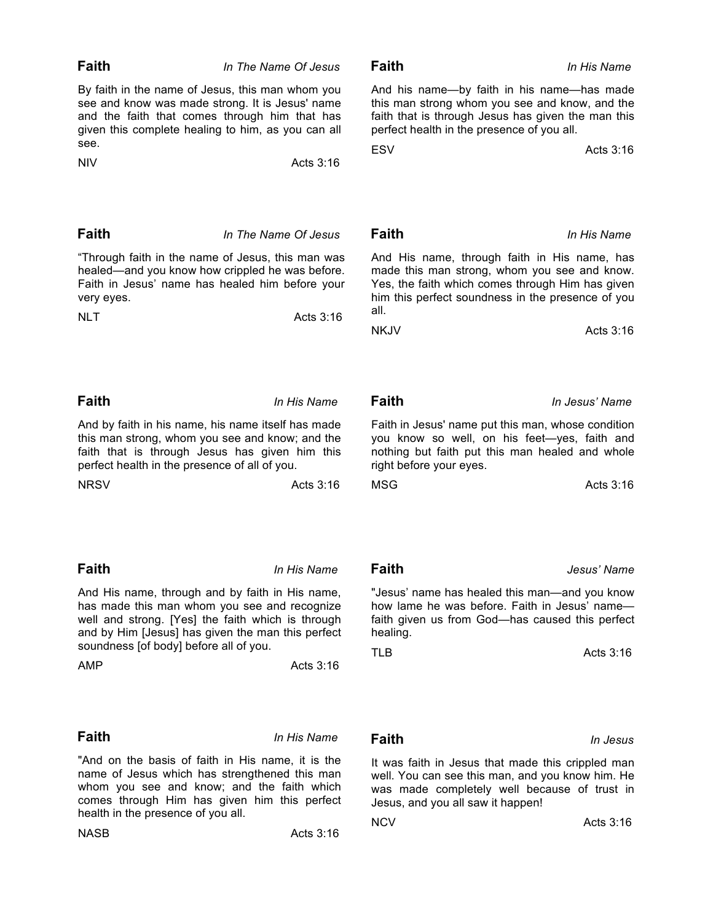| given this complete healing to him, as you can all                                                                                                                                                                                     |             | perfect health in the presence of you all.                                                                                                                                                                    |                |
|----------------------------------------------------------------------------------------------------------------------------------------------------------------------------------------------------------------------------------------|-------------|---------------------------------------------------------------------------------------------------------------------------------------------------------------------------------------------------------------|----------------|
| see.                                                                                                                                                                                                                                   |             | <b>ESV</b>                                                                                                                                                                                                    | Acts 3:16      |
| <b>NIV</b>                                                                                                                                                                                                                             | Acts 3:16   |                                                                                                                                                                                                               |                |
|                                                                                                                                                                                                                                        |             |                                                                                                                                                                                                               |                |
| Faith<br>In The Name Of Jesus                                                                                                                                                                                                          |             | Faith                                                                                                                                                                                                         | In His Name    |
| "Through faith in the name of Jesus, this man was<br>healed—and you know how crippled he was before.<br>Faith in Jesus' name has healed him before your<br>very eyes.<br><b>NLT</b><br>Acts 3:16                                       |             | And His name, through faith in His name, has<br>made this man strong, whom you see and know.<br>Yes, the faith which comes through Him has given<br>him this perfect soundness in the presence of you<br>all. |                |
|                                                                                                                                                                                                                                        |             | <b>NKJV</b>                                                                                                                                                                                                   | Acts 3:16      |
| Faith                                                                                                                                                                                                                                  | In His Name | <b>Faith</b>                                                                                                                                                                                                  | In Jesus' Name |
|                                                                                                                                                                                                                                        |             |                                                                                                                                                                                                               |                |
| And by faith in his name, his name itself has made<br>this man strong, whom you see and know; and the<br>faith that is through Jesus has given him this<br>perfect health in the presence of all of you.                               |             | Faith in Jesus' name put this man, whose condition<br>you know so well, on his feet-yes, faith and<br>nothing but faith put this man healed and whole<br>right before your eyes.                              |                |
| <b>NRSV</b>                                                                                                                                                                                                                            | Acts 3:16   | <b>MSG</b>                                                                                                                                                                                                    | Acts 3:16      |
| <b>Faith</b>                                                                                                                                                                                                                           | In His Name | <b>Faith</b>                                                                                                                                                                                                  | Jesus' Name    |
| And His name, through and by faith in His name,<br>has made this man whom you see and recognize<br>well and strong. [Yes] the faith which is through<br>and by Him [Jesus] has given the man this perfect                              |             | "Jesus' name has healed this man—and you know<br>how lame he was before. Faith in Jesus' name-<br>faith given us from God-has caused this perfect<br>healing.                                                 |                |
| soundness [of body] before all of you.                                                                                                                                                                                                 |             |                                                                                                                                                                                                               |                |
| AMP                                                                                                                                                                                                                                    | Acts $3:16$ | <b>TLB</b>                                                                                                                                                                                                    | Acts 3:16      |
| <b>Faith</b>                                                                                                                                                                                                                           | In His Name | <b>Faith</b>                                                                                                                                                                                                  | In Jesus       |
| "And on the basis of faith in His name, it is the<br>name of Jesus which has strengthened this man<br>whom you see and know; and the faith which<br>comes through Him has given him this perfect<br>health in the presence of you all. |             | It was faith in Jesus that made this crippled man<br>well. You can see this man, and you know him. He<br>was made completely well because of trust in<br>Jesus, and you all saw it happen!                    |                |
|                                                                                                                                                                                                                                        |             | <b>NCV</b>                                                                                                                                                                                                    | Acts 3:16      |
| <b>NASB</b>                                                                                                                                                                                                                            | Acts 3:16   |                                                                                                                                                                                                               |                |

## **Faith** *In The Name Of Jesus*

By faith in the name of Jesus, this man whom you see and know was made strong. It is Jesus' name and the faith that comes through him that has s<sup>e</sup>.

And his name—by faith in his name—has made this man strong whom you see and know, and the faith that is through Jesus has given the man this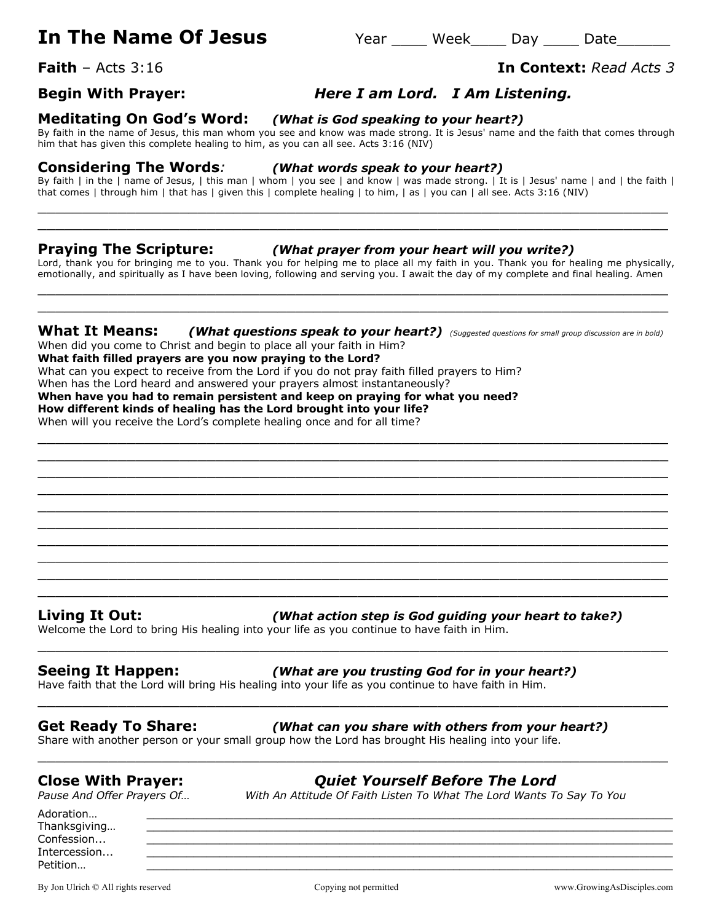# **In The Name Of Jesus** Year Meek May 2010 Date

**Faith** – Acts 3:16 **In Context:** *Read Acts 3*

## **Begin With Prayer:** *Here I am Lord. I Am Listening.*

### **Meditating On God's Word:** *(What is God speaking to your heart?)*

By faith in the name of Jesus, this man whom you see and know was made strong. It is Jesus' name and the faith that comes through him that has given this complete healing to him, as you can all see. Acts 3:16 (NIV)

### **Considering The Words***: (What words speak to your heart?)*

By faith | in the | name of Jesus, | this man | whom | you see | and know | was made strong. | It is | Jesus' name | and | the faith | that comes | through him | that has | given this | complete healing | to him, | as | you can | all see. Acts 3:16 (NIV) \_\_\_\_\_\_\_\_\_\_\_\_\_\_\_\_\_\_\_\_\_\_\_\_\_\_\_\_\_\_\_\_\_\_\_\_\_\_\_\_\_\_\_\_\_\_\_\_\_\_\_\_\_\_\_\_\_\_\_\_\_\_\_\_\_\_\_\_\_\_\_

 $\_$  , and the set of the set of the set of the set of the set of the set of the set of the set of the set of the set of the set of the set of the set of the set of the set of the set of the set of the set of the set of th

### **Praying The Scripture:** *(What prayer from your heart will you write?)*

Lord, thank you for bringing me to you. Thank you for helping me to place all my faith in you. Thank you for healing me physically, emotionally, and spiritually as I have been loving, following and serving you. I await the day of my complete and final healing. Amen \_\_\_\_\_\_\_\_\_\_\_\_\_\_\_\_\_\_\_\_\_\_\_\_\_\_\_\_\_\_\_\_\_\_\_\_\_\_\_\_\_\_\_\_\_\_\_\_\_\_\_\_\_\_\_\_\_\_\_\_\_\_\_\_\_\_\_\_\_\_\_

### **What It Means:** *(What questions speak to your heart?) (Suggested questions for small group discussion are in bold)*

 $\_$  , and the set of the set of the set of the set of the set of the set of the set of the set of the set of the set of the set of the set of the set of the set of the set of the set of the set of the set of the set of th  $\_$  , and the set of the set of the set of the set of the set of the set of the set of the set of the set of the set of the set of the set of the set of the set of the set of the set of the set of the set of the set of th  $\_$  , and the set of the set of the set of the set of the set of the set of the set of the set of the set of the set of the set of the set of the set of the set of the set of the set of the set of the set of the set of th  $\_$  , and the set of the set of the set of the set of the set of the set of the set of the set of the set of the set of the set of the set of the set of the set of the set of the set of the set of the set of the set of th  $\_$  , and the set of the set of the set of the set of the set of the set of the set of the set of the set of the set of the set of the set of the set of the set of the set of the set of the set of the set of the set of th  $\_$  , and the set of the set of the set of the set of the set of the set of the set of the set of the set of the set of the set of the set of the set of the set of the set of the set of the set of the set of the set of th  $\_$  , and the set of the set of the set of the set of the set of the set of the set of the set of the set of the set of the set of the set of the set of the set of the set of the set of the set of the set of the set of th  $\_$  , and the set of the set of the set of the set of the set of the set of the set of the set of the set of the set of the set of the set of the set of the set of the set of the set of the set of the set of the set of th

 $\_$  , and the set of the set of the set of the set of the set of the set of the set of the set of the set of the set of the set of the set of the set of the set of the set of the set of the set of the set of the set of th

 $\_$  , and the set of the set of the set of the set of the set of the set of the set of the set of the set of the set of the set of the set of the set of the set of the set of the set of the set of the set of the set of th

 $\_$  , and the set of the set of the set of the set of the set of the set of the set of the set of the set of the set of the set of the set of the set of the set of the set of the set of the set of the set of the set of th

 $\_$  , and the set of the set of the set of the set of the set of the set of the set of the set of the set of the set of the set of the set of the set of the set of the set of the set of the set of the set of the set of th

When did you come to Christ and begin to place all your faith in Him?

### **What faith filled prayers are you now praying to the Lord?**

What can you expect to receive from the Lord if you do not pray faith filled prayers to Him?

When has the Lord heard and answered your prayers almost instantaneously?

### **When have you had to remain persistent and keep on praying for what you need? How different kinds of healing has the Lord brought into your life?**

When will you receive the Lord's complete healing once and for all time?

Welcome the Lord to bring His healing into your life as you continue to have faith in Him.

### **Seeing It Happen:** *(What are you trusting God for in your heart?)*

Have faith that the Lord will bring His healing into your life as you continue to have faith in Him.

### **Get Ready To Share:** *(What can you share with others from your heart?)*

Share with another person or your small group how the Lord has brought His healing into your life.

## **Close With Prayer:** *Quiet Yourself Before The Lord*

*Pause And Offer Prayers Of… With An Attitude Of Faith Listen To What The Lord Wants To Say To You*

Adoration… \_\_\_\_\_\_\_\_\_\_\_\_\_\_\_\_\_\_\_\_\_\_\_\_\_\_\_\_\_\_\_\_\_\_\_\_\_\_\_\_\_\_\_\_\_\_\_\_\_\_\_\_\_\_\_\_\_\_\_\_\_\_\_\_\_\_\_\_\_\_\_\_\_\_\_\_\_\_\_ Thanksgiving...

 $\_$  , and the set of the set of the set of the set of the set of the set of the set of the set of the set of the set of the set of the set of the set of the set of the set of the set of the set of the set of the set of th  $\_$  , and the set of the set of the set of the set of the set of the set of the set of the set of the set of the set of the set of the set of the set of the set of the set of the set of the set of the set of the set of th **Living It Out:** *(What action step is God guiding your heart to take?)*

Confession... \_\_\_\_\_\_\_\_\_\_\_\_\_\_\_\_\_\_\_\_\_\_\_\_\_\_\_\_\_\_\_\_\_\_\_\_\_\_\_\_\_\_\_\_\_\_\_\_\_\_\_\_\_\_\_\_\_\_\_\_\_\_\_\_\_\_\_\_\_\_\_\_\_\_\_\_\_\_\_ Intercession... \_\_\_\_\_\_\_\_\_\_\_\_\_\_\_\_\_\_\_\_\_\_\_\_\_\_\_\_\_\_\_\_\_\_\_\_\_\_\_\_\_\_\_\_\_\_\_\_\_\_\_\_\_\_\_\_\_\_\_\_\_\_\_\_\_\_\_\_\_\_\_\_\_\_\_\_\_\_\_ Petition… \_\_\_\_\_\_\_\_\_\_\_\_\_\_\_\_\_\_\_\_\_\_\_\_\_\_\_\_\_\_\_\_\_\_\_\_\_\_\_\_\_\_\_\_\_\_\_\_\_\_\_\_\_\_\_\_\_\_\_\_\_\_\_\_\_\_\_\_\_\_\_\_\_\_\_\_\_\_\_